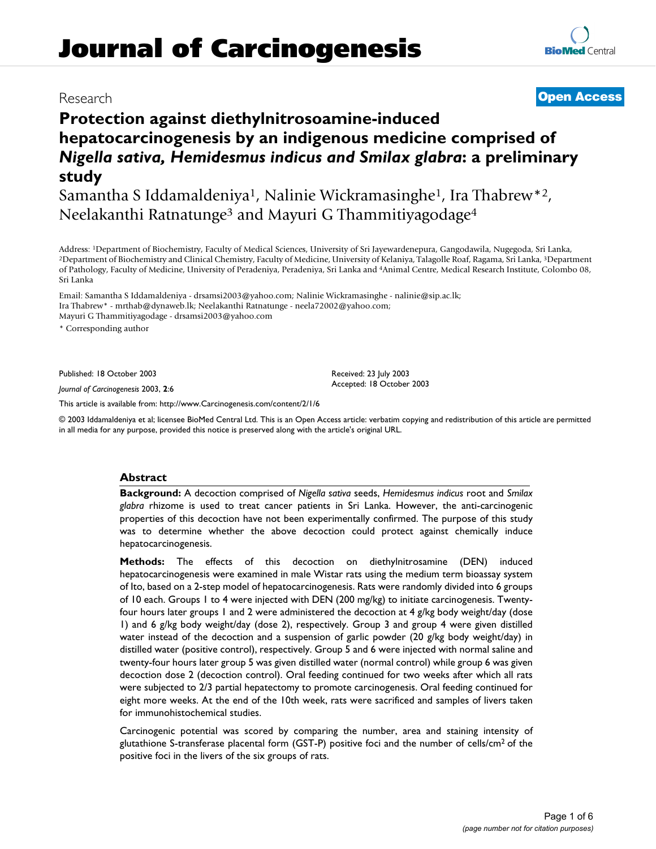# **Journal of Carcinogenesis**

## **Protection against diethylnitrosoamine-induced hepatocarcinogenesis by an indigenous medicine comprised of**  *Nigella sativa, Hemidesmus indicus and Smilax glabra***: a preliminary study**

Samantha S Iddamaldeniya1, Nalinie Wickramasinghe1, Ira Thabrew\*2, Neelakanthi Ratnatunge3 and Mayuri G Thammitiyagodage4

Address: <sup>1</sup>Department of Biochemistry, Faculty of Medical Sciences, University of Sri Jayewardenepura, Gangodawila, Nugegoda, Sri Lanka, <sup>2</sup>Department of Biochemistry and Clinical Chemistry, Faculty of Medicine, Universit of Pathology, Faculty of Medicine, University of Peradeniya, Peradeniya, Sri Lanka and 4Animal Centre, Medical Research Institute, Colombo 08, Sri Lanka

Email: Samantha S Iddamaldeniya - drsamsi2003@yahoo.com; Nalinie Wickramasinghe - nalinie@sip.ac.lk; Ira Thabrew\* - mrthab@dynaweb.lk; Neelakanthi Ratnatunge - neela72002@yahoo.com; Mayuri G Thammitiyagodage - drsamsi2003@yahoo.com

\* Corresponding author

Published: 18 October 2003

*Journal of Carcinogenesis* 2003, **2**:6

[This article is available from: http://www.Carcinogenesis.com/content/2/1/6](http://www.Carcinogenesis.com/content/2/1/6)

© 2003 Iddamaldeniya et al; licensee BioMed Central Ltd. This is an Open Access article: verbatim copying and redistribution of this article are permitted in all media for any purpose, provided this notice is preserved along with the article's original URL.

#### **Abstract**

**Background:** A decoction comprised of *Nigella sativa* seeds, *Hemidesmus indicus* root and *Smilax glabra* rhizome is used to treat cancer patients in Sri Lanka. However, the anti-carcinogenic properties of this decoction have not been experimentally confirmed. The purpose of this study was to determine whether the above decoction could protect against chemically induce hepatocarcinogenesis.

**Methods:** The effects of this decoction on diethylnitrosamine (DEN) induced hepatocarcinogenesis were examined in male Wistar rats using the medium term bioassay system of Ito, based on a 2-step model of hepatocarcinogenesis. Rats were randomly divided into 6 groups of 10 each. Groups 1 to 4 were injected with DEN (200 mg/kg) to initiate carcinogenesis. Twentyfour hours later groups 1 and 2 were administered the decoction at 4 g/kg body weight/day (dose 1) and 6 g/kg body weight/day (dose 2), respectively. Group 3 and group 4 were given distilled water instead of the decoction and a suspension of garlic powder (20 g/kg body weight/day) in distilled water (positive control), respectively. Group 5 and 6 were injected with normal saline and twenty-four hours later group 5 was given distilled water (normal control) while group 6 was given decoction dose 2 (decoction control). Oral feeding continued for two weeks after which all rats were subjected to 2/3 partial hepatectomy to promote carcinogenesis. Oral feeding continued for eight more weeks. At the end of the 10th week, rats were sacrificed and samples of livers taken for immunohistochemical studies.

Carcinogenic potential was scored by comparing the number, area and staining intensity of glutathione S-transferase placental form (GST-P) positive foci and the number of cells/cm2 of the positive foci in the livers of the six groups of rats.

### Research **[Open Access](http://www.biomedcentral.com/info/about/charter/)**

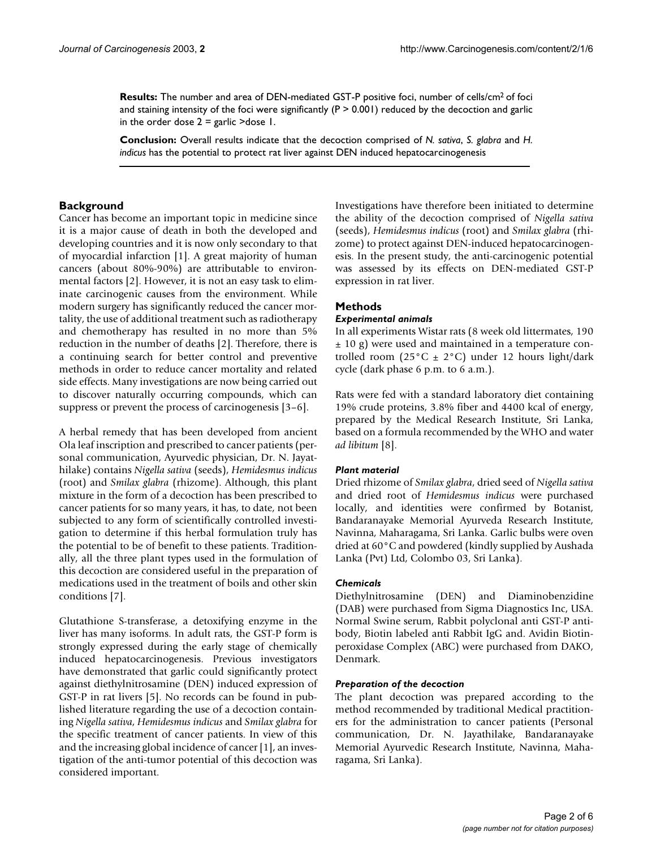**Results:** The number and area of DEN-mediated GST-P positive foci, number of cells/cm2 of foci and staining intensity of the foci were significantly  $(P > 0.001)$  reduced by the decoction and garlic in the order dose  $2 =$  garlic >dose 1.

**Conclusion:** Overall results indicate that the decoction comprised of *N. sativa*, *S. glabra* and *H. indicus* has the potential to protect rat liver against DEN induced hepatocarcinogenesis

#### **Background**

Cancer has become an important topic in medicine since it is a major cause of death in both the developed and developing countries and it is now only secondary to that of myocardial infarction [1]. A great majority of human cancers (about 80%-90%) are attributable to environmental factors [2]. However, it is not an easy task to eliminate carcinogenic causes from the environment. While modern surgery has significantly reduced the cancer mortality, the use of additional treatment such as radiotherapy and chemotherapy has resulted in no more than 5% reduction in the number of deaths [2]. Therefore, there is a continuing search for better control and preventive methods in order to reduce cancer mortality and related side effects. Many investigations are now being carried out to discover naturally occurring compounds, which can suppress or prevent the process of carcinogenesis [\[3–](#page-4-0)6].

A herbal remedy that has been developed from ancient Ola leaf inscription and prescribed to cancer patients (personal communication, Ayurvedic physician, Dr. N. Jayathilake) contains *Nigella sativa* (seeds), *Hemidesmus indicus* (root) and *Smilax glabra* (rhizome). Although, this plant mixture in the form of a decoction has been prescribed to cancer patients for so many years, it has, to date, not been subjected to any form of scientifically controlled investigation to determine if this herbal formulation truly has the potential to be of benefit to these patients. Traditionally, all the three plant types used in the formulation of this decoction are considered useful in the preparation of medications used in the treatment of boils and other skin conditions [7].

Glutathione S-transferase, a detoxifying enzyme in the liver has many isoforms. In adult rats, the GST-P form is strongly expressed during the early stage of chemically induced hepatocarcinogenesis. Previous investigators have demonstrated that garlic could significantly protect against diethylnitrosamine (DEN) induced expression of GST-P in rat livers [\[5\]](#page-4-1). No records can be found in published literature regarding the use of a decoction containing *Nigella sativa*, *Hemidesmus indicus* and *Smilax glabra* for the specific treatment of cancer patients. In view of this and the increasing global incidence of cancer [1], an investigation of the anti-tumor potential of this decoction was considered important.

Investigations have therefore been initiated to determine the ability of the decoction comprised of *Nigella sativa* (seeds), *Hemidesmus indicus* (root) and *Smilax glabra* (rhizome) to protect against DEN-induced hepatocarcinogenesis. In the present study, the anti-carcinogenic potential was assessed by its effects on DEN-mediated GST-P expression in rat liver.

#### **Methods**

#### *Experimental animals*

In all experiments Wistar rats (8 week old littermates, 190 ± 10 g) were used and maintained in a temperature controlled room (25 $^{\circ}$ C ± 2 $^{\circ}$ C) under 12 hours light/dark cycle (dark phase 6 p.m. to 6 a.m.).

Rats were fed with a standard laboratory diet containing 19% crude proteins, 3.8% fiber and 4400 kcal of energy, prepared by the Medical Research Institute, Sri Lanka, based on a formula recommended by the WHO and water *ad libitum* [8].

#### *Plant material*

Dried rhizome of *Smilax glabra*, dried seed of *Nigella sativa* and dried root of *Hemidesmus indicus* were purchased locally, and identities were confirmed by Botanist, Bandaranayake Memorial Ayurveda Research Institute, Navinna, Maharagama, Sri Lanka. Garlic bulbs were oven dried at 60°C and powdered (kindly supplied by Aushada Lanka (Pvt) Ltd, Colombo 03, Sri Lanka).

#### *Chemicals*

Diethylnitrosamine (DEN) and Diaminobenzidine (DAB) were purchased from Sigma Diagnostics Inc, USA. Normal Swine serum, Rabbit polyclonal anti GST-P antibody, Biotin labeled anti Rabbit IgG and. Avidin Biotinperoxidase Complex (ABC) were purchased from DAKO, Denmark.

#### *Preparation of the decoction*

The plant decoction was prepared according to the method recommended by traditional Medical practitioners for the administration to cancer patients (Personal communication, Dr. N. Jayathilake, Bandaranayake Memorial Ayurvedic Research Institute, Navinna, Maharagama, Sri Lanka).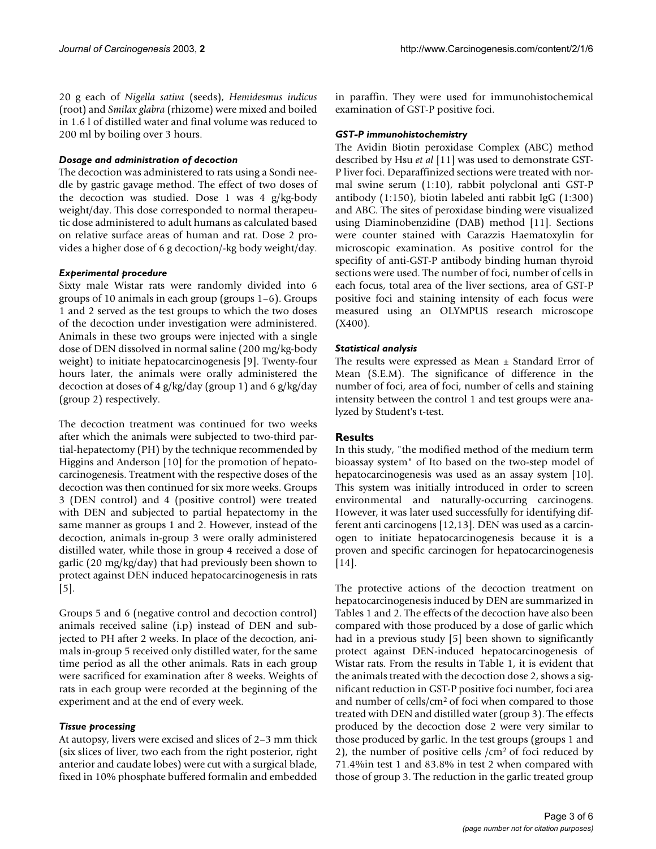20 g each of *Nigella sativa* (seeds), *Hemidesmus indicus* (root) and *Smilax glabra* (rhizome) were mixed and boiled in 1.6 l of distilled water and final volume was reduced to 200 ml by boiling over 3 hours.

#### *Dosage and administration of decoction*

The decoction was administered to rats using a Sondi needle by gastric gavage method. The effect of two doses of the decoction was studied. Dose 1 was 4 g/kg-body weight/day. This dose corresponded to normal therapeutic dose administered to adult humans as calculated based on relative surface areas of human and rat. Dose 2 provides a higher dose of 6 g decoction/-kg body weight/day.

#### *Experimental procedure*

Sixty male Wistar rats were randomly divided into 6 groups of 10 animals in each group (groups 1–6). Groups 1 and 2 served as the test groups to which the two doses of the decoction under investigation were administered. Animals in these two groups were injected with a single dose of DEN dissolved in normal saline (200 mg/kg-body weight) to initiate hepatocarcinogenesis [9]. Twenty-four hours later, the animals were orally administered the decoction at doses of 4 g/kg/day (group 1) and 6 g/kg/day (group 2) respectively.

The decoction treatment was continued for two weeks after which the animals were subjected to two-third partial-hepatectomy (PH) by the technique recommended by Higgins and Anderson [10] for the promotion of hepatocarcinogenesis. Treatment with the respective doses of the decoction was then continued for six more weeks. Groups 3 (DEN control) and 4 (positive control) were treated with DEN and subjected to partial hepatectomy in the same manner as groups 1 and 2. However, instead of the decoction, animals in-group 3 were orally administered distilled water, while those in group 4 received a dose of garlic (20 mg/kg/day) that had previously been shown to protect against DEN induced hepatocarcinogenesis in rats [[5](#page-4-1)].

Groups 5 and 6 (negative control and decoction control) animals received saline (i.p) instead of DEN and subjected to PH after 2 weeks. In place of the decoction, animals in-group 5 received only distilled water, for the same time period as all the other animals. Rats in each group were sacrificed for examination after 8 weeks. Weights of rats in each group were recorded at the beginning of the experiment and at the end of every week.

#### *Tissue processing*

At autopsy, livers were excised and slices of 2–3 mm thick (six slices of liver, two each from the right posterior, right anterior and caudate lobes) were cut with a surgical blade, fixed in 10% phosphate buffered formalin and embedded in paraffin. They were used for immunohistochemical examination of GST-P positive foci.

#### *GST-P immunohistochemistry*

The Avidin Biotin peroxidase Complex (ABC) method described by Hsu *et al* [11] was used to demonstrate GST-P liver foci. Deparaffinized sections were treated with normal swine serum (1:10), rabbit polyclonal anti GST-P antibody (1:150), biotin labeled anti rabbit IgG (1:300) and ABC. The sites of peroxidase binding were visualized using Diaminobenzidine (DAB) method [11]. Sections were counter stained with Carazzis Haematoxylin for microscopic examination. As positive control for the specifity of anti-GST-P antibody binding human thyroid sections were used. The number of foci, number of cells in each focus, total area of the liver sections, area of GST-P positive foci and staining intensity of each focus were measured using an OLYMPUS research microscope (X400).

#### *Statistical analysis*

The results were expressed as Mean  $\pm$  Standard Error of Mean (S.E.M). The significance of difference in the number of foci, area of foci, number of cells and staining intensity between the control 1 and test groups were analyzed by Student's t-test.

#### **Results**

In this study, "the modified method of the medium term bioassay system" of Ito based on the two-step model of hepatocarcinogenesis was used as an assay system [10]. This system was initially introduced in order to screen environmental and naturally-occurring carcinogens. However, it was later used successfully for identifying different anti carcinogens [12,13]. DEN was used as a carcinogen to initiate hepatocarcinogenesis because it is a proven and specific carcinogen for hepatocarcinogenesis [14].

The protective actions of the decoction treatment on hepatocarcinogenesis induced by DEN are summarized in Tables [1](#page-3-0) and [2.](#page-3-1) The effects of the decoction have also been compared with those produced by a dose of garlic which had in a previous study [[5\]](#page-4-1) been shown to significantly protect against DEN-induced hepatocarcinogenesis of Wistar rats. From the results in Table [1,](#page-3-0) it is evident that the animals treated with the decoction dose 2, shows a significant reduction in GST-P positive foci number, foci area and number of cells/cm<sup>2</sup> of foci when compared to those treated with DEN and distilled water (group 3). The effects produced by the decoction dose 2 were very similar to those produced by garlic. In the test groups (groups 1 and 2), the number of positive cells /cm2 of foci reduced by 71.4%in test 1 and 83.8% in test 2 when compared with those of group 3. The reduction in the garlic treated group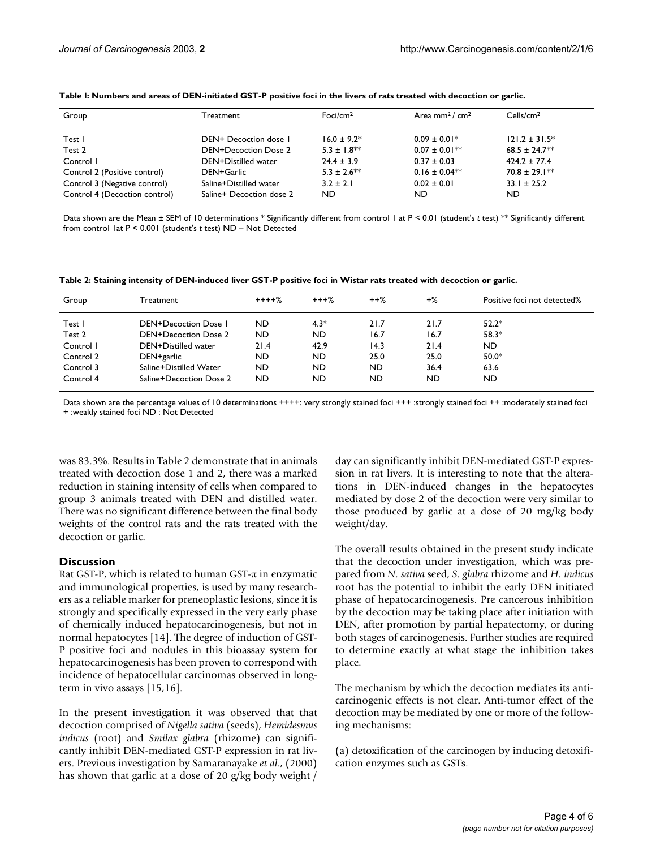| Group                         | Treatment                | Foci/cm $2$      | Area mm <sup>2</sup> / $cm2$ | Cells/cm <sup>2</sup> |
|-------------------------------|--------------------------|------------------|------------------------------|-----------------------|
| Test I                        | DEN+ Decoction dose 1    | $16.0 + 9.2*$    | $0.09 \pm 0.01*$             | $121.2 \pm 31.5^*$    |
| Test 2                        | DEN+Decoction Dose 2     | $5.3 \pm 1.8$ ** | $0.07 \pm 0.01**$            | $68.5 \pm 24.7$ **    |
| Control I                     | DEN+Distilled water      | $24.4 \pm 3.9$   | $0.37 \pm 0.03$              | $424.2 \pm 77.4$      |
| Control 2 (Positive control)  | DEN+Garlic               | $5.3 \pm 2.6$ ** | $0.16 \pm 0.04**$            | $70.8 \pm 29.1$ **    |
| Control 3 (Negative control)  | Saline+Distilled water   | $3.2 \pm 2.1$    | $0.02 \pm 0.01$              | $33.1 \pm 25.2$       |
| Control 4 (Decoction control) | Saline+ Decoction dose 2 | ND               | ND.                          | ND.                   |

<span id="page-3-0"></span>

| Table I: Numbers and areas of DEN-initiated GST-P positive foci in the livers of rats treated with decoction or garlic. |  |  |  |
|-------------------------------------------------------------------------------------------------------------------------|--|--|--|
|-------------------------------------------------------------------------------------------------------------------------|--|--|--|

Data shown are the Mean ± SEM of 10 determinations \* Significantly different from control 1 at P < 0.01 (student's *t* test) \*\* Significantly different from control 1at P < 0.001 (student's *t* test) ND – Not Detected

<span id="page-3-1"></span>

| Table 2: Staining intensity of DEN-induced liver GST-P positive foci in Wistar rats treated with decoction or garlic. |  |
|-----------------------------------------------------------------------------------------------------------------------|--|
|-----------------------------------------------------------------------------------------------------------------------|--|

| Group     | Treatment                   | $+++%$    | $+++$ % | $++\%$ | $+$ % | Positive foci not detected% |
|-----------|-----------------------------|-----------|---------|--------|-------|-----------------------------|
| Test l    | <b>DEN+Decoction Dose I</b> | <b>ND</b> | $4.3*$  | 21.7   | 21.7  | $52.2*$                     |
| Test 2    | <b>DEN+Decoction Dose 2</b> | <b>ND</b> | ND      | 16.7   | 16.7  | $58.3*$                     |
| Control I | DEN+Distilled water         | 21.4      | 42.9    | 14.3   | 21.4  | ND.                         |
| Control 2 | DEN+garlic                  | ND        | ND      | 25.0   | 25.0  | $50.0*$                     |
| Control 3 | Saline+Distilled Water      | ND        | ND      | ND     | 36.4  | 63.6                        |
| Control 4 | Saline+Decoction Dose 2     | ND        | ND      | ND     | ND    | ND.                         |

Data shown are the percentage values of 10 determinations ++++: very strongly stained foci +++ :strongly stained foci ++ :moderately stained foci + :weakly stained foci ND : Not Detected

was 83.3%. Results in Table [2](#page-3-1) demonstrate that in animals treated with decoction dose 1 and 2, there was a marked reduction in staining intensity of cells when compared to group 3 animals treated with DEN and distilled water. There was no significant difference between the final body weights of the control rats and the rats treated with the decoction or garlic.

#### **Discussion**

Rat GST-P, which is related to human GST- $\pi$  in enzymatic and immunological properties, is used by many researchers as a reliable marker for preneoplastic lesions, since it is strongly and specifically expressed in the very early phase of chemically induced hepatocarcinogenesis, but not in normal hepatocytes [14]. The degree of induction of GST-P positive foci and nodules in this bioassay system for hepatocarcinogenesis has been proven to correspond with incidence of hepatocellular carcinomas observed in longterm in vivo assays [15,16].

In the present investigation it was observed that that decoction comprised of *Nigella sativa* (seeds), *Hemidesmus indicus* (root) and *Smilax glabra* (rhizome) can significantly inhibit DEN-mediated GST-P expression in rat livers. Previous investigation by Samaranayake *et al*., (2000) has shown that garlic at a dose of 20 g/kg body weight / day can significantly inhibit DEN-mediated GST-P expression in rat livers. It is interesting to note that the alterations in DEN-induced changes in the hepatocytes mediated by dose 2 of the decoction were very similar to those produced by garlic at a dose of 20 mg/kg body weight/day.

The overall results obtained in the present study indicate that the decoction under investigation, which was prepared from *N. sativa* seed, *S. glabra* rhizome and *H. indicus* root has the potential to inhibit the early DEN initiated phase of hepatocarcinogenesis. Pre cancerous inhibition by the decoction may be taking place after initiation with DEN, after promotion by partial hepatectomy, or during both stages of carcinogenesis. Further studies are required to determine exactly at what stage the inhibition takes place.

The mechanism by which the decoction mediates its anticarcinogenic effects is not clear. Anti-tumor effect of the decoction may be mediated by one or more of the following mechanisms:

(a) detoxification of the carcinogen by inducing detoxification enzymes such as GSTs.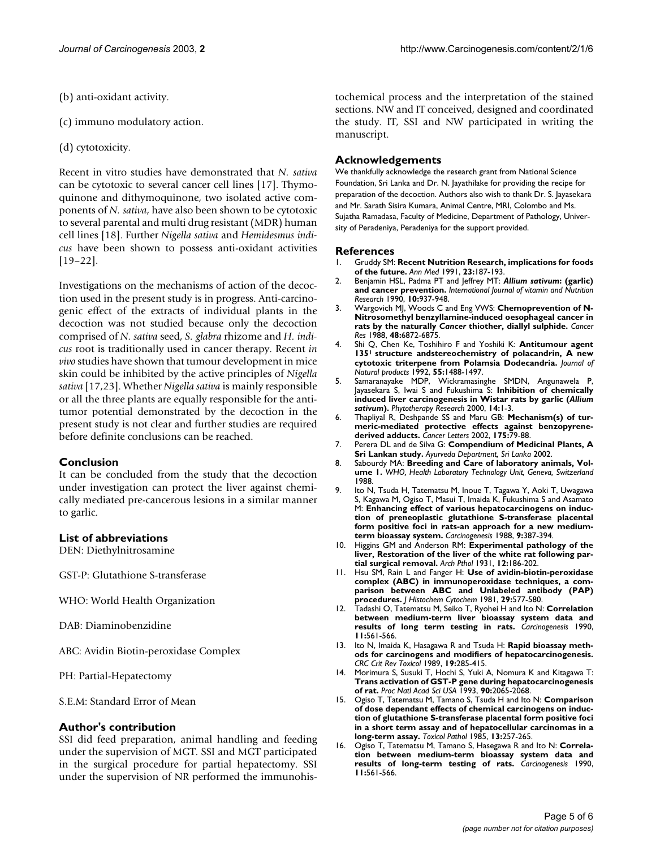- (b) anti-oxidant activity.
- (c) immuno modulatory action.
- (d) cytotoxicity.

Recent in vitro studies have demonstrated that *N. sativa* can be cytotoxic to several cancer cell lines [\[17](#page-5-0)]. Thymoquinone and dithymoquinone, two isolated active components of *N. sativa*, have also been shown to be cytotoxic to several parental and multi drug resistant (MDR) human cell lines [18]. Further *Nigella sativa* and *Hemidesmus indicus* have been shown to possess anti-oxidant activities [[19](#page-5-1)–[22\]](#page-5-2).

Investigations on the mechanisms of action of the decoction used in the present study is in progress. Anti-carcinogenic effect of the extracts of individual plants in the decoction was not studied because only the decoction comprised of *N. sativa* seed, *S. glabra* rhizome and *H. indicus* root is traditionally used in cancer therapy. Recent *in vivo* studies have shown that tumour development in mice skin could be inhibited by the active principles of *Nigella sativa* [[17,](#page-5-0)23]. Whether *Nigella sativa* is mainly responsible or all the three plants are equally responsible for the antitumor potential demonstrated by the decoction in the present study is not clear and further studies are required before definite conclusions can be reached.

#### **Conclusion**

It can be concluded from the study that the decoction under investigation can protect the liver against chemically mediated pre-cancerous lesions in a similar manner to garlic.

#### **List of abbreviations**

DEN: Diethylnitrosamine

GST-P: Glutathione S-transferase

- WHO: World Health Organization
- DAB: Diaminobenzidine

ABC: Avidin Biotin-peroxidase Complex

PH: Partial-Hepatectomy

S.E.M: Standard Error of Mean

#### **Author's contribution**

SSI did feed preparation, animal handling and feeding under the supervision of MGT. SSI and MGT participated in the surgical procedure for partial hepatectomy. SSI under the supervision of NR performed the immunohistochemical process and the interpretation of the stained sections. NW and IT conceived, designed and coordinated the study. IT, SSI and NW participated in writing the manuscript.

#### **Acknowledgements**

We thankfully acknowledge the research grant from National Science Foundation, Sri Lanka and Dr. N. Jayathilake for providing the recipe for preparation of the decoction. Authors also wish to thank Dr. S. Jayasekara and Mr. Sarath Sisira Kumara, Animal Centre, MRI, Colombo and Ms. Sujatha Ramadasa, Faculty of Medicine, Department of Pathology, University of Peradeniya, Peradeniya for the support provided.

#### **References**

- 1. Gruddy SM: **[Recent Nutrition Research, implications for foods](http://www.ncbi.nlm.nih.gov/entrez/query.fcgi?cmd=Retrieve&db=PubMed&dopt=Abstract&list_uids=2069795) [of the future.](http://www.ncbi.nlm.nih.gov/entrez/query.fcgi?cmd=Retrieve&db=PubMed&dopt=Abstract&list_uids=2069795)** *Ann Med* 1991, **23:**187-193.
- 2. Benjamin HSL, Padma PT and Jeffrey MT: *Allium sativum***: (garlic) and cancer prevention.** *International Journal of vitamin and Nutrition Research* 1990, **10:**937-948.
- <span id="page-4-0"></span>Wargovich MJ, Woods C and Eng VWS: Chemoprevention of N-**Nitrosomethyl benzyllamine-induced oesophageal cancer in rats by the naturally** *Cancer* **[thiother, diallyl sulphide.](http://www.ncbi.nlm.nih.gov/entrez/query.fcgi?cmd=Retrieve&db=PubMed&dopt=Abstract&list_uids=3180095)** *Cancer Res* 1988, **48:**6872-6875.
- 4. Shi Q, Chen Ke, Toshihiro F and Yoshiki K: **Antitumour agent 1351 [structure andstereochemistry of polacandrin, A new](http://www.ncbi.nlm.nih.gov/entrez/query.fcgi?cmd=Retrieve&db=PubMed&dopt=Abstract&list_uids=1453183) [cytotoxic triterpene from Polamsia Dodecandria.](http://www.ncbi.nlm.nih.gov/entrez/query.fcgi?cmd=Retrieve&db=PubMed&dopt=Abstract&list_uids=1453183)** *Journal of Natural products* 1992, **55:**1488-1497.
- <span id="page-4-1"></span>5. Samaranayake MDP, Wickramasinghe SMDN, Angunawela P, Jayasekara S, Iwai S and Fukushima S: **Inhibition of chemically induced liver carcinogenesis in Wistar rats by garlic (***Allium sativum***[\)](http://www.ncbi.nlm.nih.gov/entrez/query.fcgi?cmd=Retrieve&db=PubMed&dopt=Abstract&list_uids=10.1002/1099-1573(200011)14:7<564::AID-PTR664>3.0.CO;2-Z)[.](http://www.ncbi.nlm.nih.gov/entrez/query.fcgi?cmd=Retrieve&db=PubMed&dopt=Abstract&list_uids=10641040)** *Phytotherapy Research* 2000, **14:**1-3.
- 6. Thapliyal R, Deshpande SS and Maru GB: **[Mechanism\(s\) of tur](http://www.ncbi.nlm.nih.gov/entrez/query.fcgi?cmd=Retrieve&db=PubMed&dopt=Abstract&list_uids=10.1016/S0304-3835(01)00675-9)[meric-mediated protective effects against benzopyrene](http://www.ncbi.nlm.nih.gov/entrez/query.fcgi?cmd=Retrieve&db=PubMed&dopt=Abstract&list_uids=10.1016/S0304-3835(01)00675-9)[derived adducts](http://www.ncbi.nlm.nih.gov/entrez/query.fcgi?cmd=Retrieve&db=PubMed&dopt=Abstract&list_uids=10.1016/S0304-3835(01)00675-9)[.](http://www.ncbi.nlm.nih.gov/entrez/query.fcgi?cmd=Retrieve&db=PubMed&dopt=Abstract&list_uids=11734339)** *Cancer Letters* 2002, **175:**79-88.
- 7. Perera DL and de Silva G: **Compendium of Medicinal Plants, A Sri Lankan study.** *Ayurveda Department, Sri Lanka* 2002.
- 8. Sabourdy MA: **Breeding and Care of laboratory animals, Volume 1.** *WHO, Health Laboratory Technology Unit, Geneva, Switzerland* 1988.
- 9. Ito N, Tsuda H, Tatematsu M, Inoue T, Tagawa Y, Aoki T, Uwagawa S, Kagawa M, Ogiso T, Masui T, Imaida K, Fukushima S and Asamato M: **[Enhancing effect of various hepatocarcinogens on induc](http://www.ncbi.nlm.nih.gov/entrez/query.fcgi?cmd=Retrieve&db=PubMed&dopt=Abstract&list_uids=3345580)[tion of preneoplastic glutathione S-transferase placental](http://www.ncbi.nlm.nih.gov/entrez/query.fcgi?cmd=Retrieve&db=PubMed&dopt=Abstract&list_uids=3345580) form positive foci in rats-an approach for a new medium[term bioassay system.](http://www.ncbi.nlm.nih.gov/entrez/query.fcgi?cmd=Retrieve&db=PubMed&dopt=Abstract&list_uids=3345580)** *Carcinogenesis* 1988, **9:**387-394.
- 10. Higgins GM and Anderson RM: **Experimental pathology of the liver, Restoration of the liver of the white rat following partial surgical removal.** *Arch Pthol* 1931, **12:**186-202.
- 11. Hsu SM, Rain L and Fanger H: **[Use of avidin-biotin-peroxidase](http://www.ncbi.nlm.nih.gov/entrez/query.fcgi?cmd=Retrieve&db=PubMed&dopt=Abstract&list_uids=6166661) complex (ABC) in immunoperoxidase techniques, a com[parison between ABC and Unlabeled antibody \(PAP\)](http://www.ncbi.nlm.nih.gov/entrez/query.fcgi?cmd=Retrieve&db=PubMed&dopt=Abstract&list_uids=6166661) [procedures.](http://www.ncbi.nlm.nih.gov/entrez/query.fcgi?cmd=Retrieve&db=PubMed&dopt=Abstract&list_uids=6166661)** *J Histochem Cytochem* 1981, **29:**577-580.
- 12. Tadashi O, Tatematsu M, Seiko T, Ryohei H and Ito N: **[Correlation](http://www.ncbi.nlm.nih.gov/entrez/query.fcgi?cmd=Retrieve&db=PubMed&dopt=Abstract&list_uids=2322997) [between medium-term liver bioassay system data and](http://www.ncbi.nlm.nih.gov/entrez/query.fcgi?cmd=Retrieve&db=PubMed&dopt=Abstract&list_uids=2322997) [results of long term testing in rats.](http://www.ncbi.nlm.nih.gov/entrez/query.fcgi?cmd=Retrieve&db=PubMed&dopt=Abstract&list_uids=2322997)** *Carcinogenesis* 1990, **11:**561-566.
- 13. Ito N, Imaida K, Hasagawa R and Tsuda H: **Rapid bioassay methods for carcinogens and modifiers of hepatocarcinogenesis.** *CRC Crit Rev Toxicol* 1989, **19:**285-415.
- 14. Morimura S, Susuki T, Hochi S, Yuki A, Nomura K and Kitagawa T: **[Trans activation of GST-P gene during hepatocarcinogenesis](http://www.ncbi.nlm.nih.gov/entrez/query.fcgi?cmd=Retrieve&db=PubMed&dopt=Abstract&list_uids=46021) [of rat](http://www.ncbi.nlm.nih.gov/entrez/query.fcgi?cmd=Retrieve&db=PubMed&dopt=Abstract&list_uids=46021)[.](http://www.ncbi.nlm.nih.gov/entrez/query.fcgi?cmd=Retrieve&db=PubMed&dopt=Abstract&list_uids=8446629)** *Proc Natl Acad Sci USA* 1993, **90:**2065-2068.
- 15. Ogiso T, Tatematsu M, Tamano S, Tsuda H and Ito N: **[Comparison](http://www.ncbi.nlm.nih.gov/entrez/query.fcgi?cmd=Retrieve&db=PubMed&dopt=Abstract&list_uids=3834582) [of dose dependant effects of chemical carcinogens on induc](http://www.ncbi.nlm.nih.gov/entrez/query.fcgi?cmd=Retrieve&db=PubMed&dopt=Abstract&list_uids=3834582)tion of glutathione S-transferase placental form positive foci in a short term assay and of hepatocellular carcinomas in a [long-term assay.](http://www.ncbi.nlm.nih.gov/entrez/query.fcgi?cmd=Retrieve&db=PubMed&dopt=Abstract&list_uids=3834582)** *Toxicol Pathol* 1985, **13:**257-265.
- 16. Ogiso T, Tatematsu M, Tamano S, Hasegawa R and Ito N: **[Correla](http://www.ncbi.nlm.nih.gov/entrez/query.fcgi?cmd=Retrieve&db=PubMed&dopt=Abstract&list_uids=2322997)[tion between medium-term bioassay system data and](http://www.ncbi.nlm.nih.gov/entrez/query.fcgi?cmd=Retrieve&db=PubMed&dopt=Abstract&list_uids=2322997) [results of long-term testing of rats.](http://www.ncbi.nlm.nih.gov/entrez/query.fcgi?cmd=Retrieve&db=PubMed&dopt=Abstract&list_uids=2322997)** *Carcinogenesis* 1990, **11:**561-566.